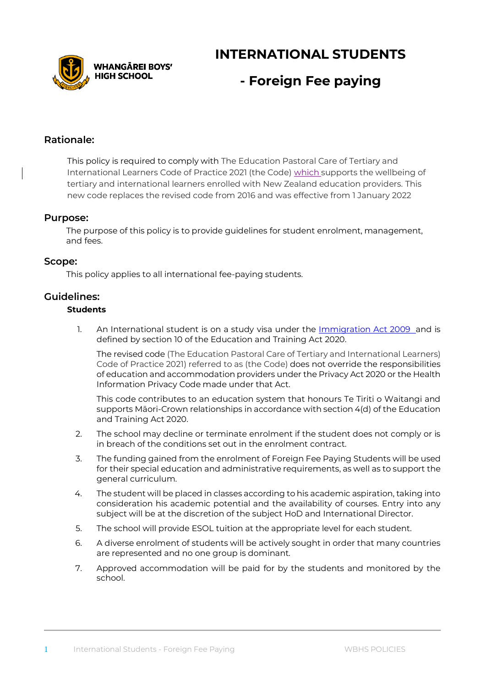**VHANGĀREI BOYS' HIGH SCHOOL** 

**INTERNATIONAL STUDENTS** 

# **- Foreign Fee paying**

### **Rationale:**

This policy is required to comply with The Education Pastoral Care of Tertiary and International Learners Code of Practice 2021 (the Code) which supports the wellbeing of tertiary and international learners enrolled with New Zealand education providers. This new code replaces the revised code from 2016 and was effective from 1 January 2022

#### **Purpose:**

The purpose of this policy is to provide guidelines for student enrolment, management, and fees.

#### **Scope:**

This policy applies to all international fee-paying students.

### **Guidelines:**

### **Students**

1. An International student is on a study visa under the [Immigration Act](http://www.legislation.govt.nz/act/public/1987/0074/latest/DLM108018.html) 2009 and is defined by section 10 of the Education and Training Act 2020.

The revised code *(The Education Pastoral Care of Tertiary and International Learners) Code of Practice 2021)* referred to as (the Code) does not override the responsibilities of education and accommodation providers under the Privacy Act 2020 or the Health Information Privacy Code made under that Act.

This code contributes to an education system that honours Te Tiriti o Waitangi and supports Māori-Crown relationships in accordance with section 4(d) of the Education and Training Act 2020.

- 2. The school may decline or terminate enrolment if the student does not comply or is in breach of the conditions set out in the enrolment contract.
- 3. The funding gained from the enrolment of Foreign Fee Paying Students will be used for their special education and administrative requirements, as well as to support the general curriculum.
- 4. The student will be placed in classes according to his academic aspiration, taking into consideration his academic potential and the availability of courses. Entry into any subject will be at the discretion of the subject HoD and International Director.
- 5. The school will provide ESOL tuition at the appropriate level for each student.
- 6. A diverse enrolment of students will be actively sought in order that many countries are represented and no one group is dominant.
- 7. Approved accommodation will be paid for by the students and monitored by the school.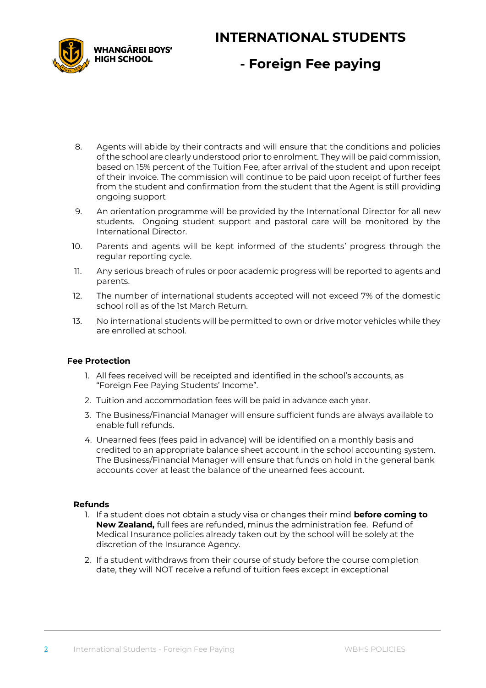# WHANGĀREI BOYS' **HIGH SCHOOL**

## **INTERNATIONAL STUDENTS**

# **- Foreign Fee paying**

- 8. Agents will abide by their contracts and will ensure that the conditions and policies of the school are clearly understood prior to enrolment. They will be paid commission, based on 15% percent of the Tuition Fee, after arrival of the student and upon receipt of their invoice. The commission will continue to be paid upon receipt of further fees from the student and confirmation from the student that the Agent is still providing ongoing support
- 9. An orientation programme will be provided by the International Director for all new students. Ongoing student support and pastoral care will be monitored by the International Director.
- 10. Parents and agents will be kept informed of the students' progress through the regular reporting cycle.
- 11. Any serious breach of rules or poor academic progress will be reported to agents and parents.
- 12. The number of international students accepted will not exceed 7% of the domestic school roll as of the 1st March Return.
- 13. No international students will be permitted to own or drive motor vehicles while they are enrolled at school.

### **Fee Protection**

- 1. All fees received will be receipted and identified in the school's accounts, as "Foreign Fee Paying Students' Income".
- 2. Tuition and accommodation fees will be paid in advance each year.
- 3. The Business/Financial Manager will ensure sufficient funds are always available to enable full refunds.
- 4. Unearned fees (fees paid in advance) will be identified on a monthly basis and credited to an appropriate balance sheet account in the school accounting system. The Business/Financial Manager will ensure that funds on hold in the general bank accounts cover at least the balance of the unearned fees account.

#### **Refunds**

- 1. If a student does not obtain a study visa or changes their mind **before coming to New Zealand,** full fees are refunded, minus the administration fee. Refund of Medical Insurance policies already taken out by the school will be solely at the discretion of the Insurance Agency.
- 2. If a student withdraws from their course of study before the course completion date, they will NOT receive a refund of tuition fees except in exceptional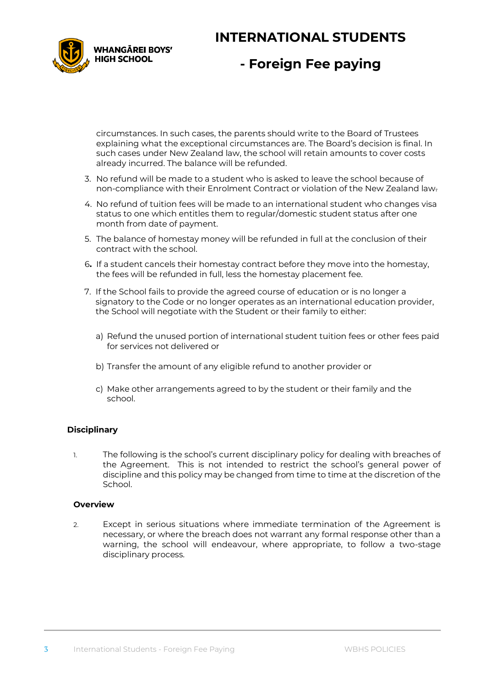### **INTERNATIONAL STUDENTS**



### **- Foreign Fee paying**

circumstances. In such cases, the parents should write to the Board of Trustees explaining what the exceptional circumstances are. The Board's decision is final. In such cases under New Zealand law, the school will retain amounts to cover costs already incurred. The balance will be refunded.

- 3. No refund will be made to a student who is asked to leave the school because of non-compliance with their Enrolment Contract or violation of the New Zealand law.
- 4. No refund of tuition fees will be made to an international student who changes visa status to one which entitles them to regular/domestic student status after one month from date of payment.
- 5. The balance of homestay money will be refunded in full at the conclusion of their contract with the school.
- 6**.** If a student cancels their homestay contract before they move into the homestay, the fees will be refunded in full, less the homestay placement fee.
- 7. If the School fails to provide the agreed course of education or is no longer a signatory to the Code or no longer operates as an international education provider, the School will negotiate with the Student or their family to either:
	- a) Refund the unused portion of international student tuition fees or other fees paid for services not delivered or
	- b) Transfer the amount of any eligible refund to another provider or
	- c) Make other arrangements agreed to by the student or their family and the school.

### **Disciplinary**

1. The following is the school's current disciplinary policy for dealing with breaches of the Agreement. This is not intended to restrict the school's general power of discipline and this policy may be changed from time to time at the discretion of the School.

#### **Overview**

2. Except in serious situations where immediate termination of the Agreement is necessary, or where the breach does not warrant any formal response other than a warning, the school will endeavour, where appropriate, to follow a two-stage disciplinary process.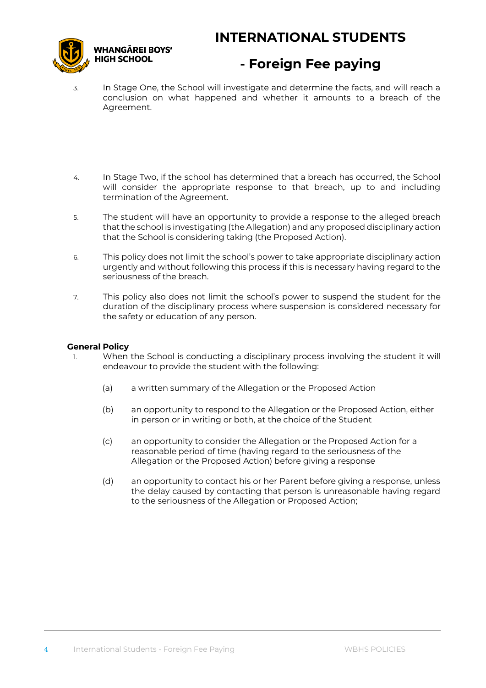## **INTERNATIONAL STUDENTS**



### **- Foreign Fee paying**

- 3. In Stage One, the School will investigate and determine the facts, and will reach a conclusion on what happened and whether it amounts to a breach of the Agreement.
- 4. In Stage Two, if the school has determined that a breach has occurred, the School will consider the appropriate response to that breach, up to and including termination of the Agreement.
- 5. The student will have an opportunity to provide a response to the alleged breach that the school is investigating (the Allegation) and any proposed disciplinary action that the School is considering taking (the Proposed Action).
- 6. This policy does not limit the school's power to take appropriate disciplinary action urgently and without following this process if this is necessary having regard to the seriousness of the breach.
- 7. This policy also does not limit the school's power to suspend the student for the duration of the disciplinary process where suspension is considered necessary for the safety or education of any person.

#### **General Policy**

- 1. When the School is conducting a disciplinary process involving the student it will endeavour to provide the student with the following:
	- (a) a written summary of the Allegation or the Proposed Action
	- (b) an opportunity to respond to the Allegation or the Proposed Action, either in person or in writing or both, at the choice of the Student
	- (c) an opportunity to consider the Allegation or the Proposed Action for a reasonable period of time (having regard to the seriousness of the Allegation or the Proposed Action) before giving a response
	- (d) an opportunity to contact his or her Parent before giving a response, unless the delay caused by contacting that person is unreasonable having regard to the seriousness of the Allegation or Proposed Action;